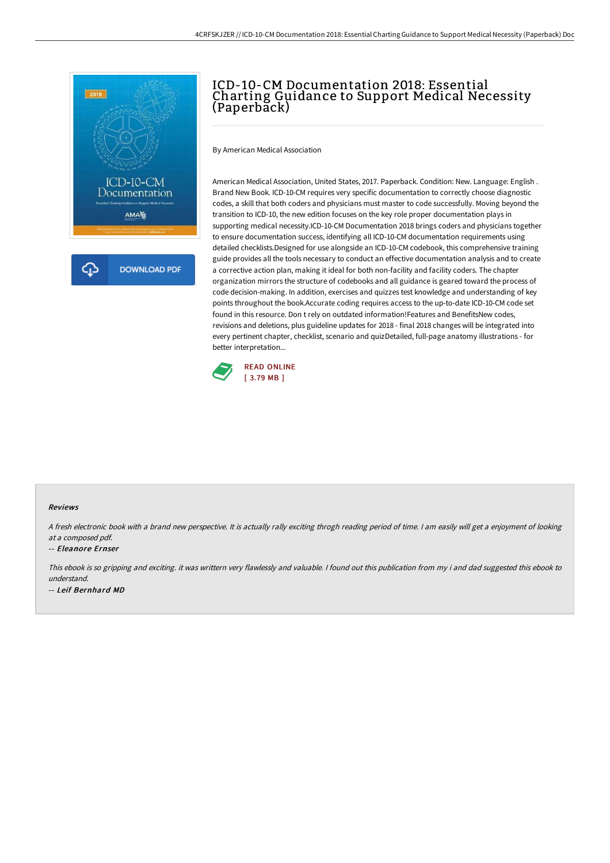

# ICD-10-CM Documentation 2018: Essential Charting Guidance to Support Medical Necessity (Paperback)

By American Medical Association

American Medical Association, United States, 2017. Paperback. Condition: New. Language: English . Brand New Book. ICD-10-CM requires very specific documentation to correctly choose diagnostic codes, a skill that both coders and physicians must master to code successfully. Moving beyond the transition to ICD-10, the new edition focuses on the key role proper documentation plays in supporting medical necessity.ICD-10-CM Documentation 2018 brings coders and physicians together to ensure documentation success, identifying all ICD-10-CM documentation requirements using detailed checklists.Designed for use alongside an ICD-10-CM codebook, this comprehensive training guide provides all the tools necessary to conduct an effective documentation analysis and to create a corrective action plan, making it ideal for both non-facility and facility coders. The chapter organization mirrors the structure of codebooks and all guidance is geared toward the process of code decision-making. In addition, exercises and quizzes test knowledge and understanding of key points throughout the book.Accurate coding requires access to the up-to-date ICD-10-CM code set found in this resource. Don t rely on outdated information!Features and BenefitsNew codes, revisions and deletions, plus guideline updates for 2018 - final 2018 changes will be integrated into every pertinent chapter, checklist, scenario and quizDetailed, full-page anatomy illustrations - for better interpretation...



### Reviews

<sup>A</sup> fresh electronic book with <sup>a</sup> brand new perspective. It is actually rally exciting throgh reading period of time. <sup>I</sup> am easily will get <sup>a</sup> enjoyment of looking at <sup>a</sup> composed pdf.

#### -- Eleanore Ernser

This ebook is so gripping and exciting. it was writtern very flawlessly and valuable. <sup>I</sup> found out this publication from my i and dad suggested this ebook to understand. -- Leif Bernhard MD